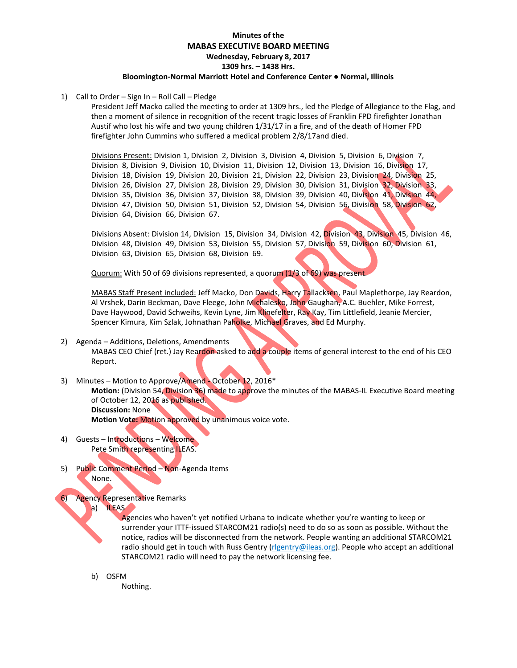# **Minutes of the MABAS EXECUTIVE BOARD MEETING Wednesday, February 8, 2017 1309 hrs. – 1438 Hrs. Bloomington-Normal Marriott Hotel and Conference Center ● Normal, Illinois**

1) Call to Order – Sign In – Roll Call – Pledge

President Jeff Macko called the meeting to order at 1309 hrs., led the Pledge of Allegiance to the Flag, and then a moment of silence in recognition of the recent tragic losses of Franklin FPD firefighter Jonathan Austif who lost his wife and two young children 1/31/17 in a fire, and of the death of Homer FPD firefighter John Cummins who suffered a medical problem 2/8/17and died.

Divisions Present: Division 1, Division 2, Division 3, Division 4, Division 5, Division 6, Division 7, Division 8, Division 9, Division 10, Division 11, Division 12, Division 13, Division 16, Division 17, Division 18, Division 19, Division 20, Division 21, Division 22, Division 23, Division 24, Division 25, Division 26, Division 27, Division 28, Division 29, Division 30, Division 31, Division 32, Division 33, Division 35, Division 36, Division 37, Division 38, Division 39, Division 40, Division 41, Division 44, Division 47, Division 50, Division 51, Division 52, Division 54, Division 56, Division 58, Division 62, Division 64, Division 66, Division 67.

Divisions Absent: Division 14, Division 15, Division 34, Division 42, Division 43, Division 45, Division 46, Division 48, Division 49, Division 53, Division 55, Division 57, Division 59, Division 60, Division 61, Division 63, Division 65, Division 68, Division 69.

Quorum: With 50 of 69 divisions represented, a quorum (1/3 of 69) was present.

MABAS Staff Present included: Jeff Macko, Don Davids, Harry Tallacksen, Paul Maplethorpe, Jay Reardon, Al Vrshek, Darin Beckman, Dave Fleege, John Michalesko, John Gaughan, A.C. Buehler, Mike Forrest, Dave Havwood, David Schweihs, Kevin Lyne, Jim Klinefelter, Ray Kay, Tim Littlefield, Jeanie Mercier, Spencer Kimura, Kim Szlak, Johnathan Paholke, Michael Graves, and Ed Murphy.

### 2) Agenda – Additions, Deletions, Amendments MABAS CEO Chief (ret.) Jay Reardon asked to add a couple items of general interest to the end of his CEO Report.

- 3) Minutes Motion to Approve/Amend October 12, 2016\* **Motion:** (Division 54, Division 36) made to approve the minutes of the MABAS-IL Executive Board meeting of October 12, 2016 as published. **Discussion:** None **Motion Vote:** Motion approved by unanimous voice vote.
- 4) Guests Introductions Welcome Pete Smith representing ILEAS.
- 5) Public Comment Period Non-Agenda Items None.

# 6) Agency Representative Remarks

a) ILEAS

Agencies who haven't yet notified Urbana to indicate whether you're wanting to keep or surrender your ITTF-issued STARCOM21 radio(s) need to do so as soon as possible. Without the notice, radios will be disconnected from the network. People wanting an additional STARCOM21 radio should get in touch with Russ Gentry [\(rlgentry@ileas.org\)](mailto:rlgentry@ileas.org). People who accept an additional STARCOM21 radio will need to pay the network licensing fee.

b) OSFM

Nothing.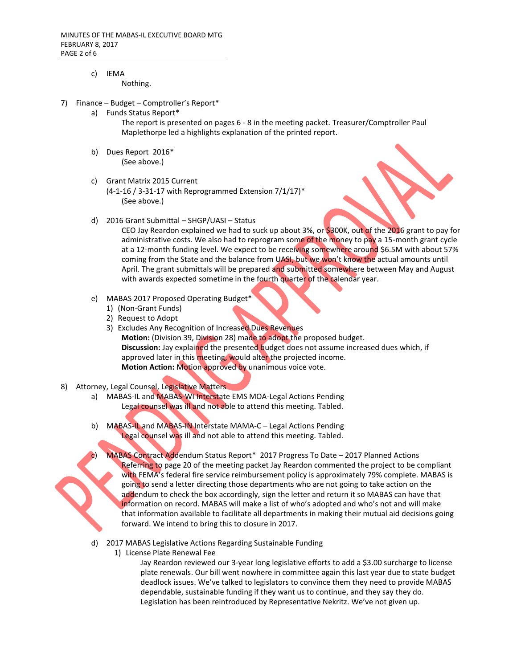# c) IEMA

Nothing.

- 7) Finance Budget Comptroller's Report\*
	- a) Funds Status Report\*

The report is presented on pages 6 - 8 in the meeting packet. Treasurer/Comptroller Paul Maplethorpe led a highlights explanation of the printed report.

- b) Dues Report 2016\* (See above.)
- c) Grant Matrix 2015 Current (4-1-16 / 3-31-17 with Reprogrammed Extension 7/1/17)\* (See above.)
- d) 2016 Grant Submittal SHGP/UASI Status

CEO Jay Reardon explained we had to suck up about 3%, or \$300K, out of the 2016 grant to pay for administrative costs. We also had to reprogram some of the money to pay a 15-month grant cycle at a 12-month funding level. We expect to be receiving somewhere around \$6.5M with about 57% coming from the State and the balance from UASI, but we won't know the actual amounts until April. The grant submittals will be prepared and submitted somewhere between May and August with awards expected sometime in the fourth quarter of the calendar year.

- e) MABAS 2017 Proposed Operating Budget\*
	- 1) (Non-Grant Funds)
	- 2) Request to Adopt
	- 3) Excludes Any Recognition of Increased Dues Revenues **Motion:** (Division 39, Division 28) made to adopt the proposed budget. **Discussion:** Jay explained the presented budget does not assume increased dues which, if approved later in this meeting, would alter the projected income. **Motion Action:** Motion approved by unanimous voice vote.
- 8) Attorney, Legal Counsel, Legislative Matters
	- a) MABAS-IL and MABAS-WI Interstate EMS MOA-Legal Actions Pending Legal counsel was ill and not able to attend this meeting. Tabled.
	- b) MABAS-IL and MABAS-IN Interstate MAMA-C Legal Actions Pending Legal counsel was ill and not able to attend this meeting. Tabled.
		- MABAS Contract Addendum Status Report\* 2017 Progress To Date 2017 Planned Actions Referring to page 20 of the meeting packet Jay Reardon commented the project to be compliant with FEMA's federal fire service reimbursement policy is approximately 79% complete. MABAS is going to send a letter directing those departments who are not going to take action on the addendum to check the box accordingly, sign the letter and return it so MABAS can have that information on record. MABAS will make a list of who's adopted and who's not and will make that information available to facilitate all departments in making their mutual aid decisions going forward. We intend to bring this to closure in 2017.
	- d) 2017 MABAS Legislative Actions Regarding Sustainable Funding
		- 1) License Plate Renewal Fee

Jay Reardon reviewed our 3-year long legislative efforts to add a \$3.00 surcharge to license plate renewals. Our bill went nowhere in committee again this last year due to state budget deadlock issues. We've talked to legislators to convince them they need to provide MABAS dependable, sustainable funding if they want us to continue, and they say they do. Legislation has been reintroduced by Representative Nekritz. We've not given up.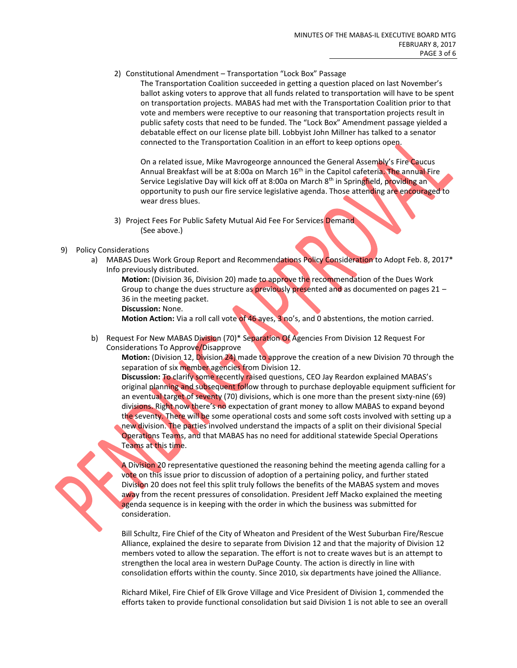2) Constitutional Amendment – Transportation "Lock Box" Passage

The Transportation Coalition succeeded in getting a question placed on last November's ballot asking voters to approve that all funds related to transportation will have to be spent on transportation projects. MABAS had met with the Transportation Coalition prior to that vote and members were receptive to our reasoning that transportation projects result in public safety costs that need to be funded. The "Lock Box" Amendment passage yielded a debatable effect on our license plate bill. Lobbyist John Millner has talked to a senator connected to the Transportation Coalition in an effort to keep options open.

On a related issue, Mike Mavrogeorge announced the General Assembly's Fire Caucus Annual Breakfast will be at 8:00a on March 16<sup>th</sup> in the Capitol cafeteria. The annual Fire Service Legislative Day will kick off at 8:00a on March 8<sup>th</sup> in Springfield, providing an opportunity to push our fire service legislative agenda. Those attending are encouraged to wear dress blues.

- 3) Project Fees For Public Safety Mutual Aid Fee For Services Demand (See above.)
- 9) Policy Considerations
	- a) MABAS Dues Work Group Report and Recommendations Policy Consideration to Adopt Feb. 8, 2017\* Info previously distributed.

**Motion:** (Division 36, Division 20) made to approve the recommendation of the Dues Work Group to change the dues structure as previously presented and as documented on pages  $21 -$ 36 in the meeting packet. **Discussion:** None.

**Motion Action:** Via a roll call vote of 46 ayes, 3 no's, and 0 abstentions, the motion carried.

b) Request For New MABAS Division (70)\* Separation Of Agencies From Division 12 Request For Considerations To Approve/Disapprove

**Motion:** (Division 12, Division 24) made to approve the creation of a new Division 70 through the separation of six member agencies from Division 12.

**Discussion:** To clarify some recently raised questions, CEO Jay Reardon explained MABAS's original planning and subsequent follow through to purchase deployable equipment sufficient for an eventual target of seventy (70) divisions, which is one more than the present sixty-nine (69) divisions. Right now there's no expectation of grant money to allow MABAS to expand beyond the seventy. There will be some operational costs and some soft costs involved with setting up a new division. The parties involved understand the impacts of a split on their divisional Special Operations Teams, and that MABAS has no need for additional statewide Special Operations Teams at this time.

A Division 20 representative questioned the reasoning behind the meeting agenda calling for a vote on this issue prior to discussion of adoption of a pertaining policy, and further stated Division 20 does not feel this split truly follows the benefits of the MABAS system and moves away from the recent pressures of consolidation. President Jeff Macko explained the meeting agenda sequence is in keeping with the order in which the business was submitted for consideration.

Bill Schultz, Fire Chief of the City of Wheaton and President of the West Suburban Fire/Rescue Alliance, explained the desire to separate from Division 12 and that the majority of Division 12 members voted to allow the separation. The effort is not to create waves but is an attempt to strengthen the local area in western DuPage County. The action is directly in line with consolidation efforts within the county. Since 2010, six departments have joined the Alliance.

Richard Mikel, Fire Chief of Elk Grove Village and Vice President of Division 1, commended the efforts taken to provide functional consolidation but said Division 1 is not able to see an overall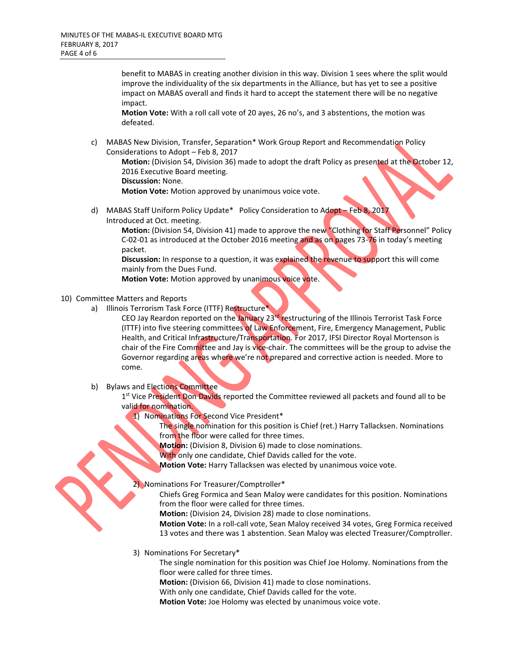benefit to MABAS in creating another division in this way. Division 1 sees where the split would improve the individuality of the six departments in the Alliance, but has yet to see a positive impact on MABAS overall and finds it hard to accept the statement there will be no negative impact.

**Motion Vote:** With a roll call vote of 20 ayes, 26 no's, and 3 abstentions, the motion was defeated.

c) MABAS New Division, Transfer, Separation\* Work Group Report and Recommendation Policy Considerations to Adopt – Feb 8, 2017

**Motion:** (Division 54, Division 36) made to adopt the draft Policy as presented at the October 12, 2016 Executive Board meeting.

**Discussion:** None.

**Motion Vote:** Motion approved by unanimous voice vote.

d) MABAS Staff Uniform Policy Update\* Policy Consideration to Adopt – Feb 8, 2017 Introduced at Oct. meeting.

**Motion:** (Division 54, Division 41) made to approve the new "Clothing for Staff Personnel" Policy C-02-01 as introduced at the October 2016 meeting and as on pages 73-76 in today's meeting packet.

**Discussion:** In response to a question, it was explained the revenue to support this will come mainly from the Dues Fund.

**Motion Vote:** Motion approved by unanimous voice vote.

## 10) Committee Matters and Reports

a) Illinois Terrorism Task Force (ITTF) Restructure\*

CEO Jay Reardon reported on the January 23<sup>rd</sup> restructuring of the Illinois Terrorist Task Force (ITTF) into five steering committees of Law Enforcement, Fire, Emergency Management, Public Health, and Critical Infrastructure/Transportation. For 2017, IFSI Director Royal Mortenson is chair of the Fire Committee and Jay is vice-chair. The committees will be the group to advise the Governor regarding areas where we're not prepared and corrective action is needed. More to come.

#### b) Bylaws and Elections Committee

1<sup>st</sup> Vice President Don Davids reported the Committee reviewed all packets and found all to be valid for nomination.

1) Nominations For Second Vice President\*

The single nomination for this position is Chief (ret.) Harry Tallacksen. Nominations from the floor were called for three times.

**Motion:** (Division 8, Division 6) made to close nominations.

With only one candidate, Chief Davids called for the vote.

**Motion Vote:** Harry Tallacksen was elected by unanimous voice vote.

## 2) Nominations For Treasurer/Comptroller\*

Chiefs Greg Formica and Sean Maloy were candidates for this position. Nominations from the floor were called for three times.

**Motion:** (Division 24, Division 28) made to close nominations.

**Motion Vote:** In a roll-call vote, Sean Maloy received 34 votes, Greg Formica received 13 votes and there was 1 abstention. Sean Maloy was elected Treasurer/Comptroller.

3) Nominations For Secretary\*

The single nomination for this position was Chief Joe Holomy. Nominations from the floor were called for three times.

**Motion:** (Division 66, Division 41) made to close nominations.

With only one candidate, Chief Davids called for the vote.

**Motion Vote:** Joe Holomy was elected by unanimous voice vote.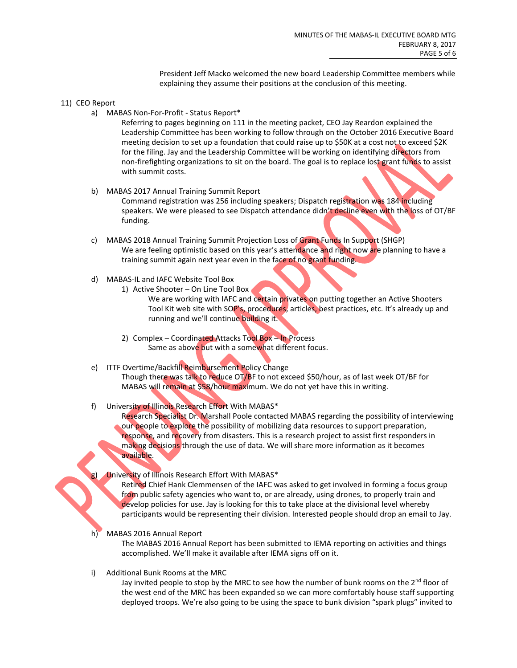President Jeff Macko welcomed the new board Leadership Committee members while explaining they assume their positions at the conclusion of this meeting.

#### 11) CEO Report

a) MABAS Non-For-Profit - Status Report\*

Referring to pages beginning on 111 in the meeting packet, CEO Jay Reardon explained the Leadership Committee has been working to follow through on the October 2016 Executive Board meeting decision to set up a foundation that could raise up to \$50K at a cost not to exceed \$2K for the filing. Jay and the Leadership Committee will be working on identifying directors from non-firefighting organizations to sit on the board. The goal is to replace lost grant funds to assist with summit costs.

- b) MABAS 2017 Annual Training Summit Report Command registration was 256 including speakers; Dispatch registration was 184 including speakers. We were pleased to see Dispatch attendance didn't decline even with the loss of OT/BF funding.
- c) MABAS 2018 Annual Training Summit Projection Loss of Grant Funds In Support (SHGP) We are feeling optimistic based on this year's attendance and right now are planning to have a training summit again next year even in the face of no grant funding.
- d) MABAS-IL and IAFC Website Tool Box
	- 1) Active Shooter On Line Tool Box
		- We are working with IAFC and certain privates on putting together an Active Shooters Tool Kit web site with SOP's, procedures, articles, best practices, etc. It's already up and running and we'll continue building it.
		- 2) Complex Coordinated Attacks Tool Box In Process Same as above but with a somewhat different focus.
- e) ITTF Overtime/Backfill Reimbursement Policy Change Though there was talk to reduce OT/BF to not exceed \$50/hour, as of last week OT/BF for MABAS will remain at \$58/hour maximum. We do not yet have this in writing.
- f) University of Illinois Research Effort With MABAS\*

Research Specialist Dr. Marshall Poole contacted MABAS regarding the possibility of interviewing our people to explore the possibility of mobilizing data resources to support preparation, response, and recovery from disasters. This is a research project to assist first responders in making decisions through the use of data. We will share more information as it becomes available.

University of Illinois Research Effort With MABAS\*

Retired Chief Hank Clemmensen of the IAFC was asked to get involved in forming a focus group from public safety agencies who want to, or are already, using drones, to properly train and develop policies for use. Jay is looking for this to take place at the divisional level whereby participants would be representing their division. Interested people should drop an email to Jay.

MABAS 2016 Annual Report

The MABAS 2016 Annual Report has been submitted to IEMA reporting on activities and things accomplished. We'll make it available after IEMA signs off on it.

i) Additional Bunk Rooms at the MRC

Jay invited people to stop by the MRC to see how the number of bunk rooms on the 2<sup>nd</sup> floor of the west end of the MRC has been expanded so we can more comfortably house staff supporting deployed troops. We're also going to be using the space to bunk division "spark plugs" invited to